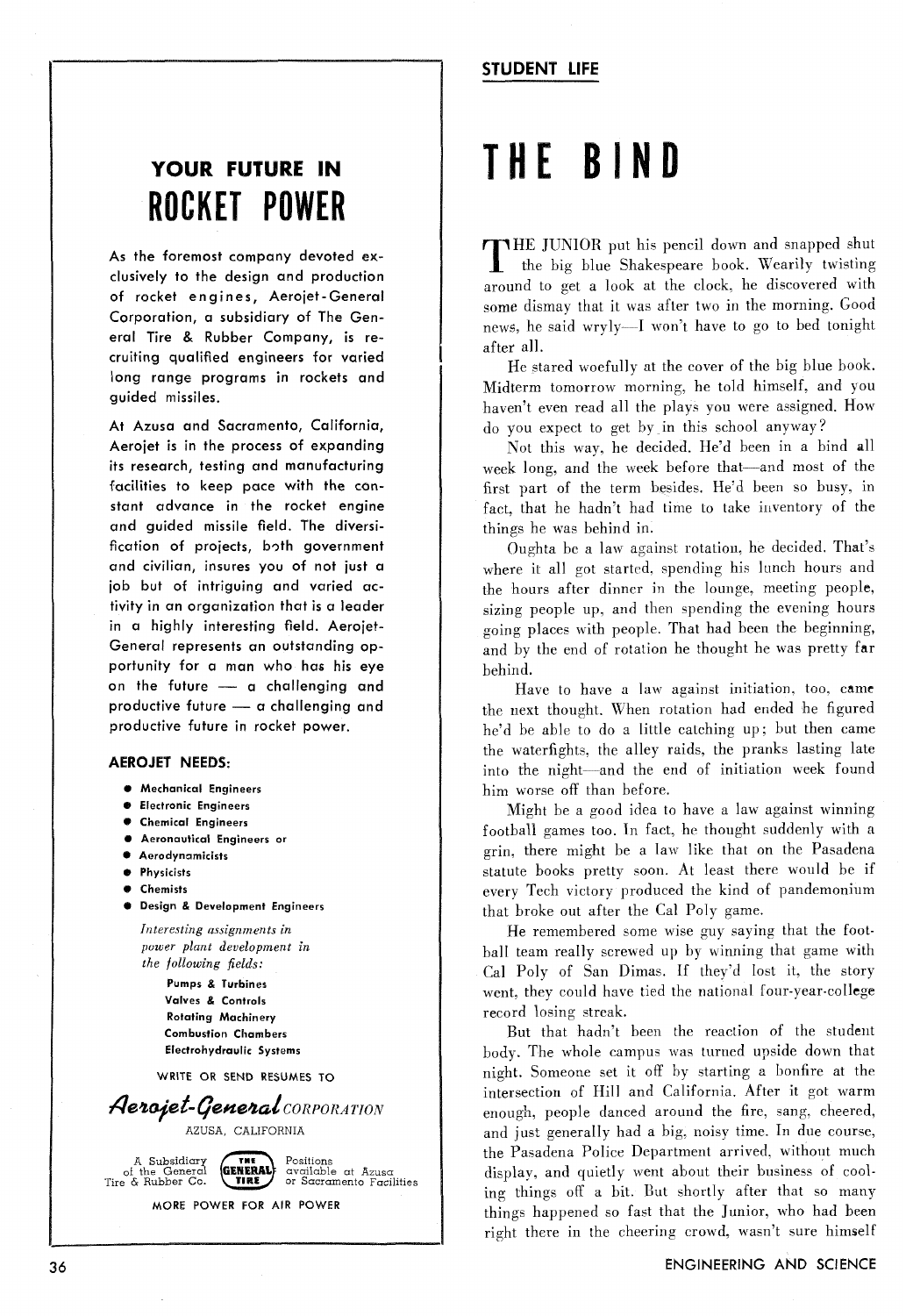# <sup>1</sup>**STUDENT LIFE**

# YOUR FUTURE IN **ROCKET POWER**

As the foremost company devoted exclusively to the design and production of rocket engines, Aerojet - General Corporation, a subsidiary of The General Tire & Rubber Company, is recruiting qualified engineers for varied long range programs in rockets and guided missiles.

At Azusa and Sacramento, California, Aerojet is in the process of expanding its research, testing and manufacturing facilities to keep pace with the constant advance in the rocket engine and guided missile field. The diversification of projects, both government and civilian, insures you of not just a job but of intriguing and varied activity in an organization that is a leader in a highly interesting field. Aerojet-General represents an outstanding opportunity for a man who has his eye on the future - a challenging and proof of the future of a man who has his eye<br>por the future - a challenging and<br>productive future - a challenging and productive future in rocket power.

### **AEROJET NEEDS:**

- @ **Mechanical Engineers**
- **8 Electronic Engineers**
- *8* **Chemical Engineers**
- @ **Aeronautical Engineers or**
- *8* **Aerodynamicists**
- **0 Physicists**
- **0 Chemists**
- **0 Design** & **Development Engineers**

*Interesting assignments in power plant development in the following fields:* 

> **Pumps 8, Turbines Valves** & **Controls Rotating Machinery Combustion Chambers Electrohydraulic Systems**

**WRITE OR SEND RESUMES TO** 



**MORE POWER FOR AIR POWER** 

# THE BIND

THE JUNIOR put his pencil down and snapped shut the big blue Shakespeare book. Wearily twisting around to get a look at the clock. he discovered with some dismay that it was after two in the morning. Good news, he said wryly-I won't have to go to bed tonight after all.

He stared woefully at the cover of the big blue book. Midterm tomorrow morning, he told himself, and you haven't even read all the plays you were assigned. How do you expect to get by in this school anyway?

Not this way, he decided. He'd been in a bind all week long, and the week before that-and most of the first part of the term besides. He'd been so busy, in fact, that he hadn't had time to take inventory of the things he was behind in.

Oughta be a law against rotation. he decided. That's where it all got started, spending his lunch hours and the hours after dinner in the lounge, meeting people, sizing people up, and then spending the evening hours going places with people. That had been the beginning, and by the end of rotation he thought he was pretty far behind.

Have to have a law against initiation, too, came the next thought. When rotation had ended he figured he'd be able to do a little catching up; but then came the waterfights, the alley raids, the pranks lasting late into the night-and the end of initiation week found him worse off than before.

Might be a good idea to have a law against winning football games too. In fact, he thought suddenly with a grin, there might be a law like that on the Pasadena statute books pretty soon. At least there would be if every Tech victory produced the kind of pandemonium that broke out after the Ca1 Poly game.

He remembered some wise guy saying that the football team really screwed up by winning that game with Cal Poly of San Dimas. If they'd lost it, the story went, they could have tied the national four-year-college record losing streak.

But that hadn't been the reaction of the student body. The whole campus was turned upside down that night. Someone set it off by starting a bonfire at the intersection of Hill and California. After it got warm enough, people danced around the fire, sang, cheered, and just generally had a big. noisy time. In due course, the Pasadena Police Department arrived. without much display, and quietly went about their business of cooling things off a bit. But shortly after that so many things happened so fast that the Junior, who had been right there in ihe cheering crowd, wasn't sure himself